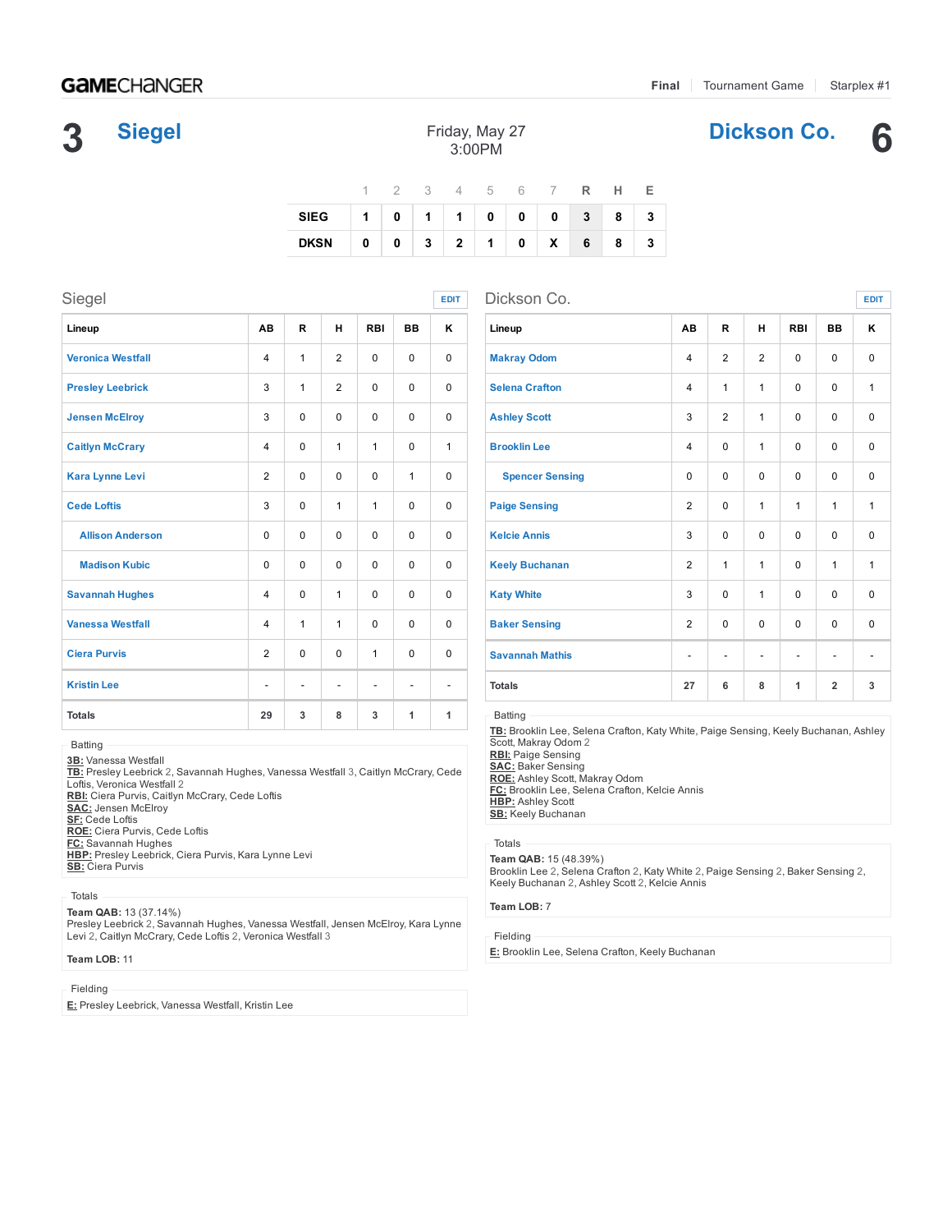[Dickson](https://gc.com/t/spring-2016/dickson-co-5743350559132900012850c9) Co. 6

# **GAME**CHANGER

# 3 **[Siegel](https://gc.com/t/spring-2016/siegel-5743350559132900012850c6)**

| Friday, May 27 |  |
|----------------|--|
| $3:00$ PM      |  |

|                          |  |  |  | 1 2 3 4 5 6 7 <b>R H E</b> |  |  |
|--------------------------|--|--|--|----------------------------|--|--|
| SIEG 1 0 1 1 0 0 0 3 8 3 |  |  |  |                            |  |  |
| DKSN 0 0 3 2 1 0 X 6 8 3 |  |  |  |                            |  |  |

| Siegel                   |                          |               |                          |                          |                          | <b>EDIT</b>              | Dickson Co.                  |
|--------------------------|--------------------------|---------------|--------------------------|--------------------------|--------------------------|--------------------------|------------------------------|
| Lineup                   | AB                       | R             | н                        | <b>RBI</b>               | <b>BB</b>                | κ                        | Lineup                       |
| <b>Veronica Westfall</b> | $\overline{4}$           | $\mathbf{1}$  | 2                        | $\Omega$                 | $\Omega$                 | $\Omega$                 | <b>Makray Odom</b>           |
| <b>Presley Leebrick</b>  | 3                        | $\mathbf{1}$  | 2                        | $\Omega$                 | $\Omega$                 | $\Omega$                 | <b>Selena Crafton</b>        |
| <b>Jensen McElroy</b>    | 3                        | $\Omega$      | $\Omega$                 | $\Omega$                 | $\Omega$                 | $\Omega$                 | <b>Ashley Scott</b>          |
| <b>Caitlyn McCrary</b>   | $\overline{4}$           | $\Omega$      | 1                        | $\mathbf{1}$             | $\Omega$                 | 1                        | <b>Brooklin Lee</b>          |
| <b>Kara Lynne Levi</b>   | $\overline{2}$           | $\mathbf 0$   | 0                        | $\mathbf 0$              | 1                        | 0                        | <b>Spencer Sens</b>          |
| <b>Cede Loftis</b>       | 3                        | $\Omega$      | 1                        | 1                        | $\Omega$                 | $\Omega$                 | <b>Paige Sensing</b>         |
| <b>Allison Anderson</b>  | $\Omega$                 | $\Omega$      | $\Omega$                 | $\Omega$                 | $\Omega$                 | $\Omega$                 | <b>Kelcie Annis</b>          |
| <b>Madison Kubic</b>     | $\Omega$                 | $\Omega$      | $\Omega$                 | $\mathbf 0$              | $\Omega$                 | $\Omega$                 | <b>Keely Buchanan</b>        |
| <b>Savannah Hughes</b>   | $\overline{4}$           | $\Omega$      | 1                        | $\mathbf 0$              | $\Omega$                 | 0                        | <b>Katy White</b>            |
| <b>Vanessa Westfall</b>  | $\overline{4}$           | $\mathbf{1}$  | 1                        | $\Omega$                 | $\Omega$                 | $\Omega$                 | <b>Baker Sensing</b>         |
| <b>Ciera Purvis</b>      | $\overline{2}$           | $\Omega$      | 0                        | 1                        | $\Omega$                 | 0                        | <b>Savannah Mathis</b>       |
| <b>Kristin Lee</b>       | $\overline{\phantom{0}}$ | $\frac{1}{2}$ | $\overline{\phantom{m}}$ | $\overline{\phantom{a}}$ | $\overline{\phantom{a}}$ | $\overline{\phantom{a}}$ | <b>Totals</b>                |
| <b>Totals</b>            | 29                       | 3             | 8                        | 3                        | 1                        | 1                        | Batting<br>TB: Brooklin Lee, |

Batting

<u>3B:</u> Vanessa Westfall<br><u>TB:</u> Presley Leebrick 2, Savannah Hughes, Vanessa Westfall 3, Caitlyn McCrary, Cede Loftis, Veronica Westfall 2

RBI: Ciera Purvis, Caitlyn McCrary, Cede Loftis

SAC: Jensen McElroy

SF: Cede Loftis

ROE: Ciera Purvis, Cede Loftis<br><u>FC:</u> Savannah Hughes

HBP: Presley Leebrick, Ciera Purvis, Kara Lynne Levi SB: Ciera Purvis

## Totals

Team QAB: 13 (37.14%)

Presley Leebrick 2, Savannah Hughes, Vanessa Westfall, Jensen McElroy, Kara Lynne Levi 2, Caitlyn McCrary, Cede Loftis 2, Veronica Westfall 3

### Team LOB: 11

## Fielding

E: Presley Leebrick, Vanessa Westfall, Kristin Lee

| Dickson Co.<br><b>EDIT</b> |                          |                |                          |              |                              |              |  |  |  |  |  |
|----------------------------|--------------------------|----------------|--------------------------|--------------|------------------------------|--------------|--|--|--|--|--|
| Lineup                     | AB                       | R              | н                        | <b>RBI</b>   | <b>BB</b>                    | κ            |  |  |  |  |  |
| <b>Makray Odom</b>         | $\overline{\mathbf{4}}$  | $\overline{2}$ | 2                        | $\Omega$     | $\Omega$                     | $\Omega$     |  |  |  |  |  |
| <b>Selena Crafton</b>      | $\overline{\mathbf{4}}$  | 1              | $\mathbf{1}$             | $\Omega$     | 0                            | 1            |  |  |  |  |  |
| <b>Ashley Scott</b>        | 3                        | $\overline{2}$ | 1                        | $\Omega$     | 0                            | 0            |  |  |  |  |  |
| <b>Brooklin Lee</b>        | $\overline{\mathbf{4}}$  | 0              | $\mathbf{1}$             | $\Omega$     | $\Omega$                     | $\Omega$     |  |  |  |  |  |
| <b>Spencer Sensing</b>     | $\Omega$                 | 0              | $\Omega$                 | $\Omega$     | $\Omega$                     | $\Omega$     |  |  |  |  |  |
| <b>Paige Sensing</b>       | 2                        | 0              | $\mathbf{1}$             | $\mathbf{1}$ | $\mathbf{1}$                 | $\mathbf{1}$ |  |  |  |  |  |
| <b>Kelcie Annis</b>        | 3                        | 0              | $\Omega$                 | $\Omega$     | $\Omega$                     | 0            |  |  |  |  |  |
| <b>Keely Buchanan</b>      | $\overline{2}$           | 1              | $\mathbf{1}$             | $\Omega$     | 1                            | $\mathbf{1}$ |  |  |  |  |  |
| <b>Katy White</b>          | 3                        | $\Omega$       | $\mathbf{1}$             | $\mathbf{0}$ | $\Omega$                     | $\Omega$     |  |  |  |  |  |
| <b>Baker Sensing</b>       | 2                        | 0              | $\Omega$                 | $\Omega$     | $\Omega$                     | $\Omega$     |  |  |  |  |  |
| <b>Savannah Mathis</b>     | $\overline{\phantom{a}}$ | -              | $\overline{\phantom{m}}$ | -            | $\qquad \qquad \blacksquare$ |              |  |  |  |  |  |
| <b>Totals</b>              | 27                       | 6              | 8                        | 1            | $\overline{2}$               | 3            |  |  |  |  |  |

Selena Crafton, Katy White, Paige Sensing, Keely Buchanan, Ashley Scott, Makray Odom 2

<u>RBI:</u> Paige Sensing<br><u>SAC:</u> Baker Sensing<br><u>ROE:</u> Ashley Scott, Makray Odom<br><u>FC:</u> Brooklin Lee, Selena Crafton, Kelcie Annis **HBP:** Ashley Scott SB: Keely Buchanan

### Totals

Team QAB: 15 (48.39%) Brooklin Lee 2, Selena Crafton 2, Katy White 2, Paige Sensing 2, Baker Sensing 2, Keely Buchanan 2, Ashley Scott 2, Kelcie Annis

#### Team LOB: 7

#### Fielding

E: Brooklin Lee, Selena Crafton, Keely Buchanan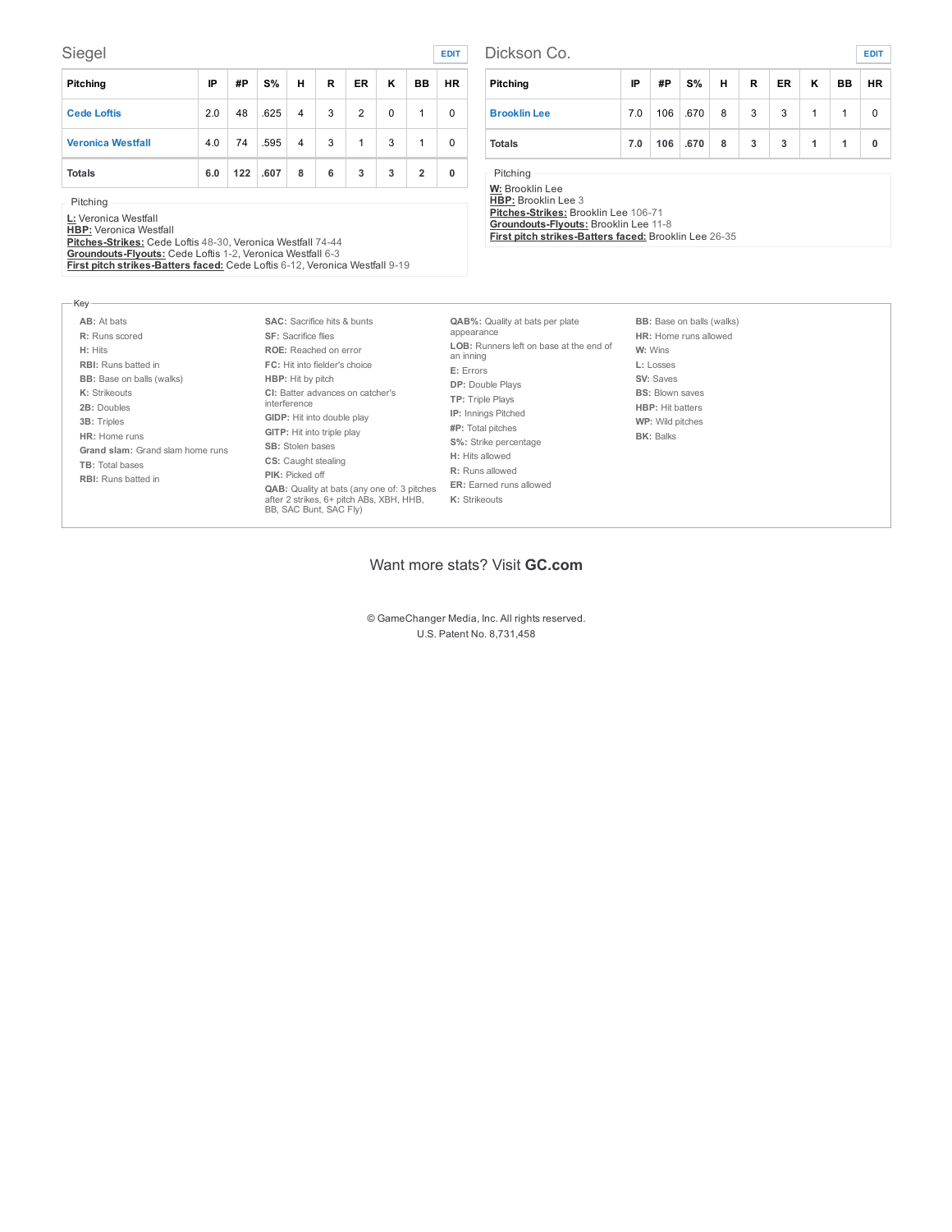## Siegel **[EDIT](https://gc.com/game-57433533e35e0f0001f68465/stats/away/pitching?edit_team_id=5743350559132900012850c6)**

| Pitching                 | IP  | #P  | S%   | н              | R | <b>ER</b> | κ | BB             | HR I |
|--------------------------|-----|-----|------|----------------|---|-----------|---|----------------|------|
| <b>Cede Loftis</b>       | 2.0 | 48  | .625 | $\overline{4}$ | 3 | 2         | 0 | 1              | 0    |
| <b>Veronica Westfall</b> | 4.0 | 74  | .595 | 4              | 3 | 1         | 3 | 1              | 0    |
| <b>Totals</b>            | 6.0 | 122 | .607 | 8              | 6 | 3         | 3 | $\overline{2}$ | 0    |

Pitching

Key

<u>L:</u> Veronica Westfall<br><u>HBP:</u> Veronica Westfall<br><u>Pitches-Strikes:</u> Cede Loftis 48-30, Veronica Westfall 74-44<br><u>Groundouts-Flyouts:</u> Cede Loftis 1-2, Veronica Westfall 6-3<br>First pitch strikes-Batters faced: Cede Loftis 6-12

| Dickson Co.<br><b>EDIT</b> |     |     |      |   |   |           |   |           |           |  |  |  |
|----------------------------|-----|-----|------|---|---|-----------|---|-----------|-----------|--|--|--|
| Pitching                   | IP  | #P  | S%   | н | R | <b>ER</b> | Κ | <b>BB</b> | <b>HR</b> |  |  |  |
| <b>Brooklin Lee</b>        | 7.0 | 106 | .670 | 8 | 3 | 3         | 1 |           | 0         |  |  |  |
| <b>Totals</b>              | 7.0 | 106 | .670 | 8 | 3 | 3         | 1 | 1         | 0         |  |  |  |

Pitching

<u>W:</u> Brooklin Lee<br><u>HBP:</u> Brooklin Lee 3<br><u>Pitches-Strikes:</u> Brooklin Lee 106-71<br><mark>Groundouts-Flyouts:</mark> Brooklin Lee 11-8 First pitch strikes-Batters faced: Brooklin Lee 26-35

| AB: At bats<br>R: Runs scored<br><b>SF:</b> Sacrifice flies<br>H: Hits<br><b>RBI:</b> Runs batted in<br><b>BB:</b> Base on balls (walks)<br><b>HBP:</b> Hit by pitch<br>K: Strikeouts<br>interference<br>2B: Doubles<br>3B: Triples<br>HR: Home runs<br><b>SB:</b> Stolen bases<br>Grand slam: Grand slam home runs<br><b>CS:</b> Caught stealing<br>TB: Total bases<br>PIK: Picked off<br><b>RBI:</b> Runs batted in | <b>SAC:</b> Sacrifice hits & bunts<br><b>ROE:</b> Reached on error<br>FC: Hit into fielder's choice<br>CI: Batter advances on catcher's<br>GIDP: Hit into double play<br>GITP: Hit into triple play<br>QAB: Quality at bats (any one of: 3 pitches<br>after 2 strikes, 6+ pitch ABs, XBH, HHB,<br>BB, SAC Bunt, SAC Fly) | <b>QAB%:</b> Quality at bats per plate<br>appearance<br>LOB: Runners left on base at the end of<br>an inning<br>E: Errors<br><b>DP:</b> Double Plays<br>TP: Triple Plays<br><b>IP:</b> Innings Pitched<br>#P: Total pitches<br>S%: Strike percentage<br>H: Hits allowed<br><b>R:</b> Runs allowed<br><b>ER:</b> Earned runs allowed<br>K: Strikeouts | <b>BB:</b> Base on balls (walks)<br>HR: Home runs allowed<br>W: Wins<br>L: Losses<br>SV: Saves<br><b>BS: Blown saves</b><br><b>HBP:</b> Hit batters<br>WP: Wild pitches<br><b>BK: Balks</b> |
|-----------------------------------------------------------------------------------------------------------------------------------------------------------------------------------------------------------------------------------------------------------------------------------------------------------------------------------------------------------------------------------------------------------------------|--------------------------------------------------------------------------------------------------------------------------------------------------------------------------------------------------------------------------------------------------------------------------------------------------------------------------|------------------------------------------------------------------------------------------------------------------------------------------------------------------------------------------------------------------------------------------------------------------------------------------------------------------------------------------------------|---------------------------------------------------------------------------------------------------------------------------------------------------------------------------------------------|
|-----------------------------------------------------------------------------------------------------------------------------------------------------------------------------------------------------------------------------------------------------------------------------------------------------------------------------------------------------------------------------------------------------------------------|--------------------------------------------------------------------------------------------------------------------------------------------------------------------------------------------------------------------------------------------------------------------------------------------------------------------------|------------------------------------------------------------------------------------------------------------------------------------------------------------------------------------------------------------------------------------------------------------------------------------------------------------------------------------------------------|---------------------------------------------------------------------------------------------------------------------------------------------------------------------------------------------|

## Want more stats? Visit GC.com

© GameChanger Media, Inc. All rights reserved. U.S. Patent No. 8,731,458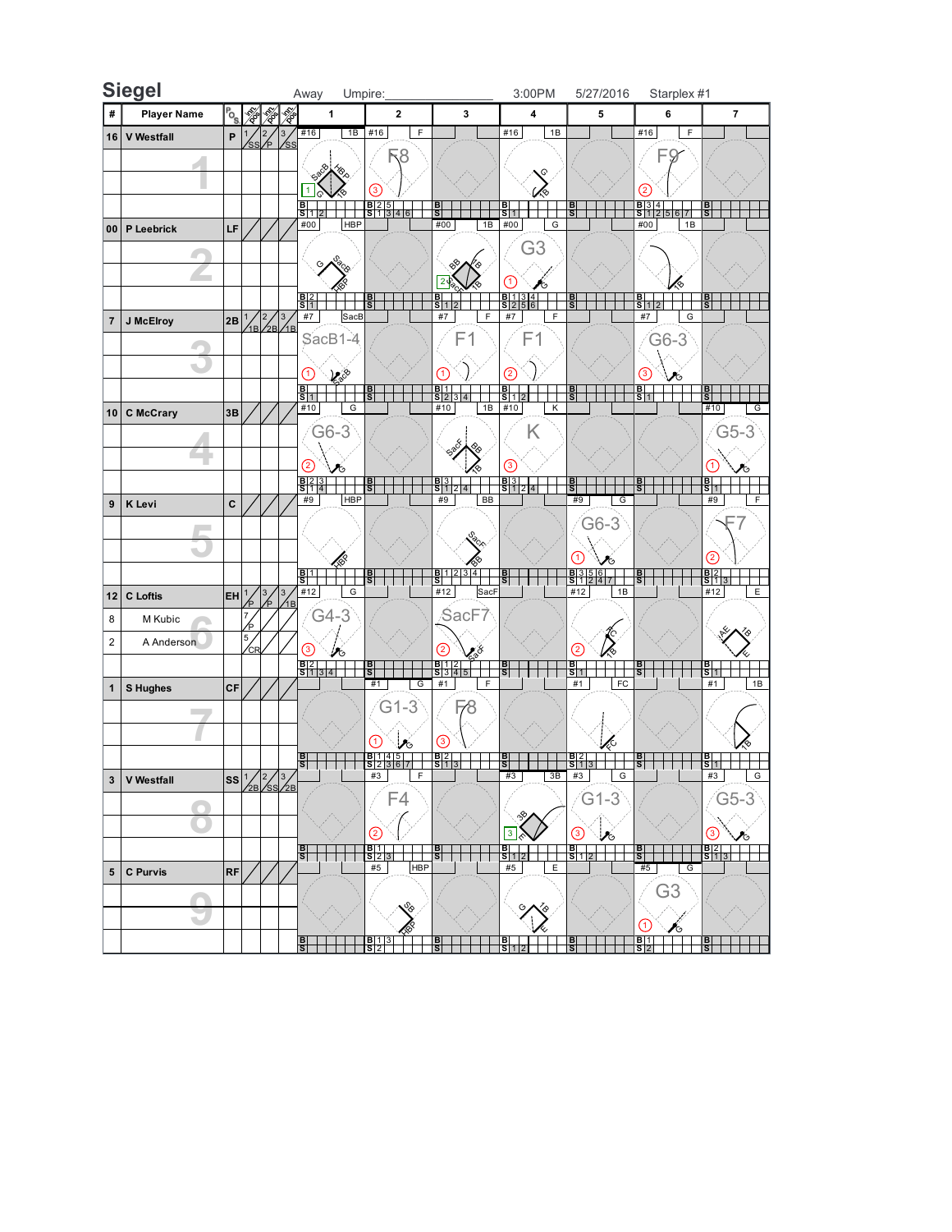|                 | <b>Siegel</b>            |               |                      |               |                                                 | Away                                                        | Umpire:                                                       |                                            | 3:00PM                                                        | 5/27/2016                                | Starplex #1                                                          |    |
|-----------------|--------------------------|---------------|----------------------|---------------|-------------------------------------------------|-------------------------------------------------------------|---------------------------------------------------------------|--------------------------------------------|---------------------------------------------------------------|------------------------------------------|----------------------------------------------------------------------|----|
| #               | <b>Player Name</b>       | $P_{\rm O_S}$ |                      | ≫             |                                                 | 1                                                           | $\mathbf{2}$                                                  | 3                                          | $\pmb{4}$                                                     | 5                                        | 6<br>$\overline{\mathbf{r}}$                                         |    |
| 16              | <b>V</b> Westfall        | P             |                      | $\sqrt{2}$    | 3                                               | 1B<br>#16                                                   | #16<br>$\mathsf F$                                            |                                            | #16<br>1B                                                     |                                          | #16<br>$\mathsf F$                                                   |    |
|                 |                          |               |                      |               |                                                 |                                                             | 3                                                             |                                            |                                                               |                                          | 9                                                                    |    |
|                 |                          |               |                      |               |                                                 | 1                                                           |                                                               |                                            | Q                                                             |                                          |                                                                      |    |
|                 |                          |               |                      |               |                                                 | $\frac{B}{S}$ 1                                             | $\left(3\right)$<br>$\frac{B}{S}$ $\frac{2}{3}$ $\frac{5}{4}$ | 이피                                         | $\frac{B}{S}$ 1                                               | $\frac{1}{s}$                            | $\left( 2\right)$<br>$rac{B}{S}$ $rac{3}{1}$ $rac{4}{2}$<br><u>B</u> |    |
| 00              | P Leebrick               | LF            |                      |               |                                                 | #00<br><b>HBP</b>                                           |                                                               | #00<br>1B                                  | #00<br>G                                                      |                                          | #00<br>1B                                                            |    |
|                 |                          |               |                      |               |                                                 |                                                             |                                                               |                                            | G3                                                            |                                          |                                                                      |    |
|                 |                          |               |                      |               |                                                 |                                                             |                                                               |                                            |                                                               |                                          |                                                                      |    |
|                 |                          |               |                      |               |                                                 |                                                             |                                                               | $\overline{2}$                             | $\left( 1\right)$                                             |                                          |                                                                      |    |
|                 |                          |               |                      | 2,            | $\ensuremath{\mathsf{3}}$                       | $rac{B}{S}$<br>$\#7$<br>SacB                                | $rac{B}{S}$                                                   | $\frac{B}{S}$ 1<br>$\#7$<br>F              | $rac{B}{S}$ $rac{1}{2}$ $rac{3}{5}$ $rac{4}{6}$<br>$\#7$<br>F | 통                                        | $\frac{B}{S}$ <sub>12</sub><br>$rac{B}{S}$<br>#7<br>G                |    |
| $\overline{7}$  | J McElroy                | 2B            |                      | $^{2}$ B      | ⁄1в                                             | SacB1-4                                                     |                                                               | F1                                         | F1                                                            |                                          | G6-3                                                                 |    |
|                 |                          |               |                      |               |                                                 |                                                             |                                                               |                                            |                                                               |                                          |                                                                      |    |
|                 | $\overline{\phantom{a}}$ |               |                      |               |                                                 | $\left( 1\right)$<br>$\mathcal{L}^{\otimes}$                |                                                               | $\left( 1\right)$                          | $^{(2)}$                                                      |                                          | 3)<br>ਾ⊙                                                             |    |
|                 |                          |               |                      |               |                                                 | $\frac{B}{S}$ <sub>1</sub>                                  | в<br>S                                                        | $rac{B}{S}$ $rac{1}{2}$                    | $\frac{B}{S}$ 12                                              | $rac{B}{S}$                              | $\frac{\mathsf{B}}{\mathsf{S}}$ 1<br>릙                               |    |
| 10 <sub>1</sub> | <b>C</b> McCrary         | 3B            |                      |               |                                                 | #10<br>G                                                    |                                                               | #10<br>1B                                  | #10<br>Κ                                                      |                                          | #10                                                                  | G  |
|                 |                          |               |                      |               |                                                 | G6-3                                                        |                                                               |                                            | Κ                                                             |                                          | $G5-3$                                                               |    |
|                 |                          |               |                      |               |                                                 | 2                                                           |                                                               |                                            | $\left(3\right)$                                              |                                          | $\mathbf{1}$                                                         |    |
|                 |                          |               |                      |               |                                                 | 7G<br>$\begin{array}{c} B \ 2 \ 3 \\ S \ 1 \ 4 \end{array}$ | $rac{1}{s}$                                                   | $\frac{B 3 }{S 1 2}$                       | $\frac{B}{3}$ $\frac{3}{12}$                                  | 릏                                        | $\frac{B}{S+1}$<br><u>a</u>                                          |    |
| 9               | <b>K</b> Levi            | C             |                      |               |                                                 | #9<br><b>HBP</b>                                            |                                                               | #9<br>BB                                   |                                                               | #9<br>G                                  | #9                                                                   | F  |
|                 |                          |               |                      |               |                                                 |                                                             |                                                               |                                            |                                                               | G6-3                                     |                                                                      |    |
|                 | $\blacksquare$           |               |                      |               |                                                 |                                                             |                                                               | <b>Cacco</b>                               |                                                               |                                          |                                                                      |    |
|                 |                          |               |                      |               |                                                 |                                                             |                                                               | 3 4                                        |                                                               |                                          | (2)                                                                  |    |
| 12              | C Loftis                 | <b>EH</b>     |                      | 3             | $\mathbf{3}$                                    | na<br>S<br>#12<br>G                                         | 퇅                                                             | $\frac{B}{S}$ $\frac{1}{2}$<br>#12<br>SacF | $\frac{B}{S}$                                                 | $\frac{B 3 5 6 }{S 1 2 4 }$<br>1B<br>#12 | $\frac{B}{S}$ $\frac{2}{1}$ $\frac{3}{5}$<br>릙<br>#12                | E  |
| 8               | M Kubic                  |               | $\overline{7}$       | Þ             | R                                               | $G4-3$                                                      |                                                               | ∕SacF7                                     |                                                               |                                          |                                                                      |    |
| $\overline{2}$  | A Anderson               |               | ⁄p<br>5 <sub>1</sub> |               |                                                 |                                                             |                                                               |                                            |                                                               |                                          |                                                                      |    |
|                 |                          |               |                      |               |                                                 | $\left(3\right)$<br>V6                                      |                                                               | ś<br>$^{(2)}$                              |                                                               | $\mathbf{2}$                             |                                                                      |    |
|                 |                          |               |                      |               |                                                 | $rac{B}{S}$ 1 3 4                                           | 이찌<br>#1<br>$\overline{G}$                                    | $\frac{B 1 2}{S 3 4 5}$<br>#1<br>F         | 릙                                                             | $\frac{B}{S}$ <sub>1</sub><br>#1<br>FC   | $\frac{B}{S}$ <sub>1</sub><br>하<br>#1                                | 1B |
| $\mathbf{1}$    | S Hughes                 | CF            |                      |               |                                                 |                                                             | $G1-3$                                                        |                                            |                                                               |                                          |                                                                      |    |
|                 |                          |               |                      |               |                                                 |                                                             |                                                               | ⊬8                                         |                                                               |                                          |                                                                      |    |
|                 |                          |               |                      |               |                                                 |                                                             | $\blacksquare$<br>パ                                           | ③                                          |                                                               |                                          |                                                                      |    |
|                 |                          |               |                      |               |                                                 | $\frac{B}{ S }$                                             | B[1]4[5]<br>S2367                                             | $rac{B}{S}$ 1                              | $rac{B}{S}$                                                   | $\frac{B}{S}$ 1 3                        | $\frac{B}{S+1}$<br>릙                                                 |    |
|                 | 3 V Westfall             |               |                      | $ _{2}/ _{3}$ | $\frac{1}{2B}$ / $\frac{2}{3}$ / $\frac{3}{2B}$ |                                                             | #3<br>F                                                       |                                            | 3B<br>#3                                                      | G<br>#3                                  | #3                                                                   | G  |
|                 |                          |               |                      |               |                                                 |                                                             | F4                                                            |                                            |                                                               | $G1-3$                                   | $G5-3$                                                               |    |
|                 |                          |               |                      |               |                                                 |                                                             | (2)                                                           |                                            | 3                                                             | ③<br>$\mathcal{V}_{\circlearrowleft}$    | ③                                                                    |    |
|                 |                          |               |                      |               |                                                 | 릙                                                           | $\frac{B}{S}$ $\frac{1}{2}$ $\frac{3}{3}$                     | <b>B</b>                                   | $\frac{B}{S}$ 1 2                                             | $\frac{B}{S}$ <sub>12</sub>              | $\frac{B}{5}$ $\frac{2}{1}$ $\frac{3}{5}$<br>메                       |    |
| 5               | C Purvis                 | <b>RF</b>     |                      |               |                                                 |                                                             | #5<br><b>HBP</b>                                              |                                            | #5<br>Ε                                                       |                                          | #5<br>$\overline{G}$                                                 |    |
|                 |                          |               |                      |               |                                                 |                                                             |                                                               |                                            |                                                               |                                          | G <sub>3</sub>                                                       |    |
|                 | $\sim$                   |               |                      |               |                                                 |                                                             | $\delta$                                                      |                                            |                                                               |                                          |                                                                      |    |
|                 |                          |               |                      |               |                                                 |                                                             |                                                               | <u>B</u>                                   |                                                               | B                                        | (1)<br>∕⊙                                                            |    |
|                 |                          |               |                      |               |                                                 | $\frac{B}{S}$                                               | $rac{B}{S}$ $rac{1}{2}$                                       |                                            |                                                               |                                          | $rac{B}{S}$ $rac{1}{2}$<br>$rac{B}{S}$                               |    |